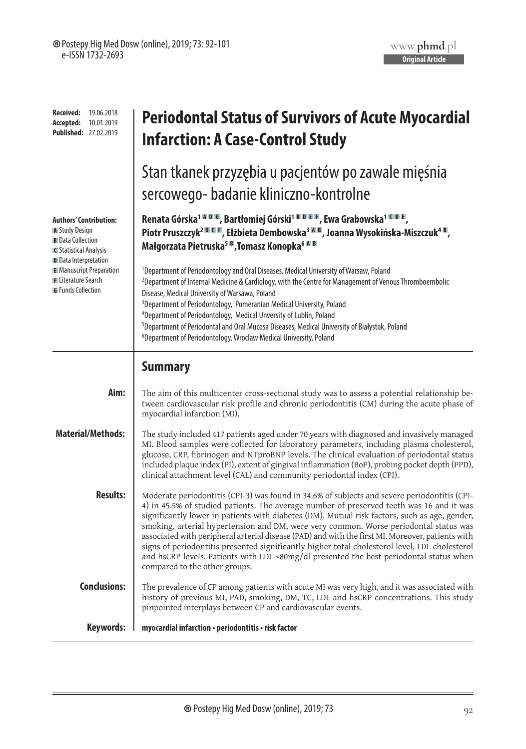| <b>Received:</b><br>19.06.2018<br>Accepted:<br>10.01.2019<br><b>Published: 27.02.2019</b>                           | <b>Periodontal Status of Survivors of Acute Myocardial</b><br><b>Infarction: A Case-Control Study</b>                                                                                                                                                                                                                                                                                                                                                                                                                                                                                                                                                                                                                |  |  |  |  |
|---------------------------------------------------------------------------------------------------------------------|----------------------------------------------------------------------------------------------------------------------------------------------------------------------------------------------------------------------------------------------------------------------------------------------------------------------------------------------------------------------------------------------------------------------------------------------------------------------------------------------------------------------------------------------------------------------------------------------------------------------------------------------------------------------------------------------------------------------|--|--|--|--|
|                                                                                                                     | Stan tkanek przyzębia u pacjentów po zawale mięśnia                                                                                                                                                                                                                                                                                                                                                                                                                                                                                                                                                                                                                                                                  |  |  |  |  |
|                                                                                                                     | sercowego- badanie kliniczno-kontrolne                                                                                                                                                                                                                                                                                                                                                                                                                                                                                                                                                                                                                                                                               |  |  |  |  |
| <b>Authors' Contribution:</b><br>A Study Design<br><b>B</b> Data Collection<br>C Statistical Analysis               | Renata Górska <sup>1 M D M</sup> , Bartłomiej Górski <sup>1 B D E F</sup> , Ewa Grabowska <sup>1 M D E</sup> ,<br>Piotr Pruszczyk <sup>2 DIEI</sup> F. Elżbieta Dembowska <sup>3 AIB</sup> , Joanna Wysokińska-Miszczuk <sup>4 B</sup> ,<br>Małgorzata Pietruska <sup>5 B</sup> , Tomasz Konopka <sup>6 M B</sup>                                                                                                                                                                                                                                                                                                                                                                                                    |  |  |  |  |
| D Data Interpretation<br><b>E</b> Manuscript Preparation<br><b>F</b> Literature Search<br><b>G</b> Funds Collection | <sup>1</sup> Department of Periodontology and Oral Diseases, Medical University of Warsaw, Poland<br><sup>2</sup> Department of Internal Medicine & Cardiology, with the Centre for Management of Venous Thromboembolic<br>Disease, Medical University of Warsawa, Poland<br><sup>3</sup> Department of Periodontology, Pomeranian Medical University, Poland<br><sup>4</sup> Department of Periodontology, Medical Unversity of Lublin, Poland<br><sup>5</sup> Department of Periodontal and Oral Mucosa Diseases, Medical University of Białystok, Poland<br><sup>6</sup> Department of Periodontology, Wroclaw Medical University, Poland                                                                         |  |  |  |  |
|                                                                                                                     | <b>Summary</b>                                                                                                                                                                                                                                                                                                                                                                                                                                                                                                                                                                                                                                                                                                       |  |  |  |  |
| Aim:                                                                                                                | The aim of this multicenter cross-sectional study was to assess a potential relationship be-<br>tween cardiovascular risk profile and chronic periodontitis (CM) during the acute phase of<br>myocardial infarction (MI).                                                                                                                                                                                                                                                                                                                                                                                                                                                                                            |  |  |  |  |
| <b>Material/Methods:</b>                                                                                            | The study included 417 patients aged under 70 years with diagnosed and invasively managed<br>MI. Blood samples were collected for laboratory parameters, including plasma cholesterol,<br>glucose, CRP, fibrinogen and NTproBNP levels. The clinical evaluation of periodontal status<br>included plaque index (PI), extent of gingival inflammation (BoP), probing pocket depth (PPD),<br>clinical attachment level (CAL) and community periodontal index (CPI).                                                                                                                                                                                                                                                    |  |  |  |  |
| <b>Results:</b>                                                                                                     | Moderate periodontitis (CPI-3) was found in 34.6% of subjects and severe periodontitis (CPI-<br>4) in 45.5% of studied patients. The average number of preserved teeth was 16 and it was<br>significantly lower in patients with diabetes (DM). Mutual risk factors, such as age, gender,<br>smoking, arterial hypertension and DM, were very common. Worse periodontal status was<br>associated with peripheral arterial disease (PAD) and with the first MI. Moreover, patients with<br>signs of periodontitis presented significantly higher total cholesterol level, LDL cholesterol<br>and hsCRP levels. Patients with LDL <80mg/dl presented the best periodontal status when<br>compared to the other groups. |  |  |  |  |
| <b>Conclusions:</b>                                                                                                 | The prevalence of CP among patients with acute MI was very high, and it was associated with<br>history of previous MI, PAD, smoking, DM, TC, LDL and hsCRP concentrations. This study<br>pinpointed interplays between CP and cardiovascular events.                                                                                                                                                                                                                                                                                                                                                                                                                                                                 |  |  |  |  |
| <b>Keywords:</b>                                                                                                    | myocardial infarction · periodontitis · risk factor                                                                                                                                                                                                                                                                                                                                                                                                                                                                                                                                                                                                                                                                  |  |  |  |  |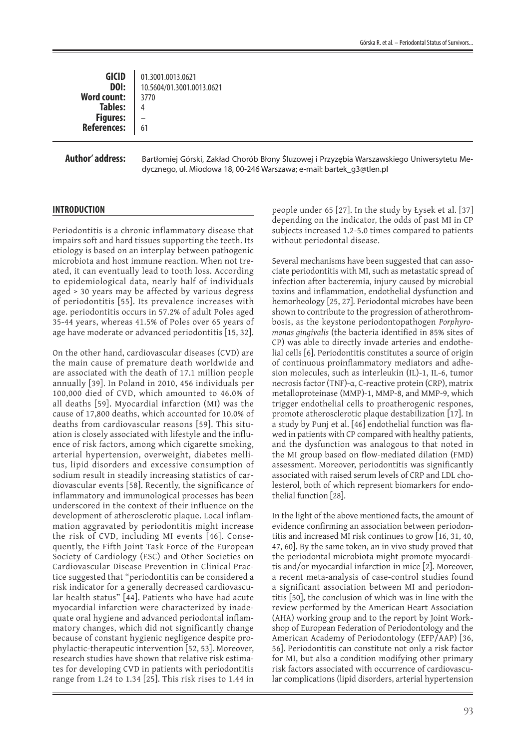| <b>GICID</b><br>DOI: | 01.3001.0013.0621<br>10.5604/01.3001.0013.0621 |
|----------------------|------------------------------------------------|
| <b>Word count:</b>   | 3770                                           |
| <b>Tables:</b>       |                                                |
| <b>Figures:</b>      |                                                |
| <b>References:</b>   | 61                                             |
|                      |                                                |

## **Author' address:**

Bartłomiej Górski, Zakład Chorób Błony Śluzowej i Przyzębia Warszawskiego Uniwersytetu Medycznego, ul. Miodowa 18, 00-246 Warszawa; e-mail: bartek\_g3@tlen.pl

## **INTRODUCTION**

Periodontitis is a chronic inflammatory disease that impairs soft and hard tissues supporting the teeth. Its etiology is based on an interplay between pathogenic microbiota and host immune reaction. When not treated, it can eventually lead to tooth loss. According to epidemiological data, nearly half of individuals aged > 30 years may be affected by various degress of periodontitis [55]. Its prevalence increases with age. periodontitis occurs in 57.2% of adult Poles aged 35-44 years, whereas 41.5% of Poles over 65 years of age have moderate or advanced periodontitis [15, 32].

On the other hand, cardiovascular diseases (CVD) are the main cause of premature death worldwide and are associated with the death of 17.1 million people annually [39]. In Poland in 2010, 456 individuals per 100,000 died of CVD, which amounted to 46.0% of all deaths [59]. Myocardial infarction (MI) was the cause of 17,800 deaths, which accounted for 10.0% of deaths from cardiovascular reasons [59]. This situation is closely associated with lifestyle and the influence of risk factors, among which cigarette smoking, arterial hypertension, overweight, diabetes mellitus, lipid disorders and excessive consumption of sodium result in steadily increasing statistics of cardiovascular events [58]. Recently, the significance of inflammatory and immunological processes has been underscored in the context of their influence on the development of atherosclerotic plaque. Local inflammation aggravated by periodontitis might increase the risk of CVD, including MI events [46]. Consequently, the Fifth Joint Task Force of the European Society of Cardiology (ESC) and Other Societies on Cardiovascular Disease Prevention in Clinical Practice suggested that "periodontitis can be considered a risk indicator for a generally decreased cardiovascular health status" [44]. Patients who have had acute myocardial infarction were characterized by inadequate oral hygiene and advanced periodontal inflammatory changes, which did not significantly change because of constant hygienic negligence despite prophylactic-therapeutic intervention [52, 53]. Moreover, research studies have shown that relative risk estimates for developing CVD in patients with periodontitis range from 1.24 to 1.34 [25]. This risk rises to 1.44 in

people under 65 [27]. In the study by Łysek et al. [37] depending on the indicator, the odds of past MI in CP subjects increased 1.2-5.0 times compared to patients without periodontal disease.

Several mechanisms have been suggested that can associate periodontitis with MI, such as metastatic spread of infection after bacteremia, injury caused by microbial toxins and inflammation, endothelial dysfunction and hemorheology [25, 27]. Periodontal microbes have been shown to contribute to the progression of atherothrombosis, as the keystone periodontopathogen *Porphyromonas gingivalis* (the bacteria identified in 85% sites of CP) was able to directly invade arteries and endothelial cells [6]. Periodontitis constitutes a source of origin of continuous proinflammatory mediators and adhesion molecules, such as interleukin (IL)-1, IL-6, tumor necrosis factor (TNF)-α, C-reactive protein (CRP), matrix metalloproteinase (MMP)-1, MMP-8, and MMP-9, which trigger endothelial cells to proatherogenic respones, promote atherosclerotic plaque destabilization [17]. In a study by Punj et al. [46] endothelial function was flawed in patients with CP compared with healthy patients, and the dysfunction was analogous to that noted in the MI group based on flow-mediated dilation (FMD) assessment. Moreover, periodontitis was significantly associated with raised serum levels of CRP and LDL cholesterol, both of which represent biomarkers for endothelial function [28].

In the light of the above mentioned facts, the amount of evidence confirming an association between periodontitis and increased MI risk continues to grow [16, 31, 40, 47, 60]. By the same token, an in vivo study proved that the periodontal microbiota might promote myocarditis and/or myocardial infarction in mice [2]. Moreover, a recent meta-analysis of case-control studies found a significant association between MI and periodontitis [50], the conclusion of which was in line with the review performed by the American Heart Association (AHA) working group and to the report by Joint Workshop of European Federation of Periodontology and the American Academy of Periodontology (EFP/AAP) [36, 56]. Periodontitis can constitute not only a risk factor for MI, but also a condition modifying other primary risk factors associated with occurrence of cardiovascular complications (lipid disorders, arterial hypertension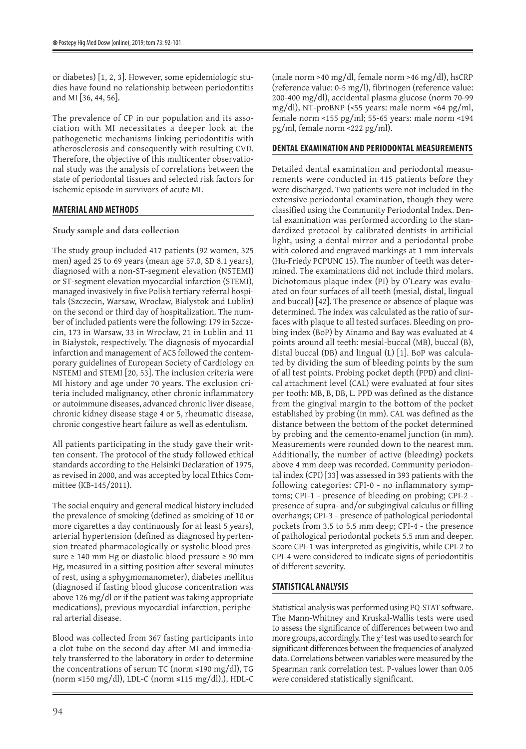or diabetes) [1, 2, 3]. However, some epidemiologic studies have found no relationship between periodontitis and MI [36, 44, 56].

The prevalence of CP in our population and its association with MI necessitates a deeper look at the pathogenetic mechanisms linking periodontitis with atherosclerosis and consequently with resulting CVD. Therefore, the objective of this multicenter observational study was the analysis of correlations between the state of periodontal tissues and selected risk factors for ischemic episode in survivors of acute MI.

## **MATERIAL AND METHODS**

### **Study sample and data collection**

The study group included 417 patients (92 women, 325 men) aged 25 to 69 years (mean age 57.0, SD 8.1 years), diagnosed with a non-ST-segment elevation (NSTEMI) or ST-segment elevation myocardial infarction (STEMI), managed invasively in five Polish tertiary referral hospitals (Szczecin, Warsaw, Wrocław, Bialystok and Lublin) on the second or third day of hospitalization. The number of included patients were the following: 179 in Szczecin, 173 in Warsaw, 33 in Wrocław, 21 in Lublin and 11 in Białystok, respectively. The diagnosis of myocardial infarction and management of ACS followed the contemporary guidelines of European Society of Cardiology on NSTEMI and STEMI [20, 53]. The inclusion criteria were MI history and age under 70 years. The exclusion criteria included malignancy, other chronic inflammatory or autoimmune diseases, advanced chronic liver disease, chronic kidney disease stage 4 or 5, rheumatic disease, chronic congestive heart failure as well as edentulism.

All patients participating in the study gave their written consent. The protocol of the study followed ethical standards according to the Helsinki Declaration of 1975, as revised in 2000, and was accepted by local Ethics Committee (KB-145/2011).

The social enquiry and general medical history included the prevalence of smoking (defined as smoking of 10 or more cigarettes a day continuously for at least 5 years), arterial hypertension (defined as diagnosed hypertension treated pharmacologically or systolic blood pressure ≥ 140 mm Hg or diastolic blood pressure ≥ 90 mm Hg, measured in a sitting position after several minutes of rest, using a sphygmomanometer), diabetes mellitus (diagnosed if fasting blood glucose concentration was above 126 mg/dl or if the patient was taking appropriate medications), previous myocardial infarction, peripheral arterial disease.

Blood was collected from 367 fasting participants into a clot tube on the second day after MI and immediately transferred to the laboratory in order to determine the concentrations of serum TC (norm ≤190 mg/dl), TG (norm ≤150 mg/dl), LDL-C (norm ≤115 mg/dl).), HDL-C (male norm >40 mg/dl, female norm >46 mg/dl), hsCRP (reference value: 0-5 mg/l), fibrinogen (reference value: 200-400 mg/dl), accidental plasma glucose (norm 70-99 mg/dl), NT-proBNP (<55 years: male norm <64 pg/ml, female norm <155 pg/ml; 55-65 years: male norm <194 pg/ml, female norm <222 pg/ml).

## **DENTAL EXAMINATION AND PERIODONTAL MEASUREMENTS**

Detailed dental examination and periodontal measurements were conducted in 415 patients before they were discharged. Two patients were not included in the extensive periodontal examination, though they were classified using the Community Periodontal Index. Dental examination was performed according to the standardized protocol by calibrated dentists in artificial light, using a dental mirror and a periodontal probe with colored and engraved markings at 1 mm intervals (Hu-Friedy PCPUNC 15). The number of teeth was determined. The examinations did not include third molars. Dichotomous plaque index (PI) by O'Leary was evaluated on four surfaces of all teeth (mesial, distal, lingual and buccal) [42]. The presence or absence of plaque was determined. The index was calculated as the ratio of surfaces with plaque to all tested surfaces. Bleeding on probing index (BoP) by Ainamo and Bay was evaluated at 4 points around all teeth: mesial-buccal (MB), buccal (B), distal buccal (DB) and lingual (L) [1]. BoP was calculated by dividing the sum of bleeding points by the sum of all test points. Probing pocket depth (PPD) and clinical attachment level (CAL) were evaluated at four sites per tooth: MB, B, DB, L. PPD was defined as the distance from the gingival margin to the bottom of the pocket established by probing (in mm). CAL was defined as the distance between the bottom of the pocket determined by probing and the cemento-enamel junction (in mm). Measurements were rounded down to the nearest mm. Additionally, the number of active (bleeding) pockets above 4 mm deep was recorded. Community periodontal index (CPI) [33] was assessed in 393 patients with the following categories: CPI-0 - no inflammatory symptoms; CPI-1 - presence of bleeding on probing; CPI-2 presence of supra- and/or subgingival calculus or filling overhangs; CPI-3 - presence of pathological periodontal pockets from 3.5 to 5.5 mm deep; CPI-4 - the presence of pathological periodontal pockets 5.5 mm and deeper. Score CPI-1 was interpreted as gingivitis, while CPI-2 to CPI-4 were considered to indicate signs of periodontitis of different severity.

## **STATISTICAL ANALYSIS**

Statistical analysis was performed using PQ-STAT software. The Mann-Whitney and Kruskal-Wallis tests were used to assess the significance of differences between two and more groups, accordingly. The  $\chi^2$  test was used to search for significant differences between the frequencies of analyzed data. Correlations between variables were measured by the Spearman rank correlation test. P-values lower than 0.05 were considered statistically significant.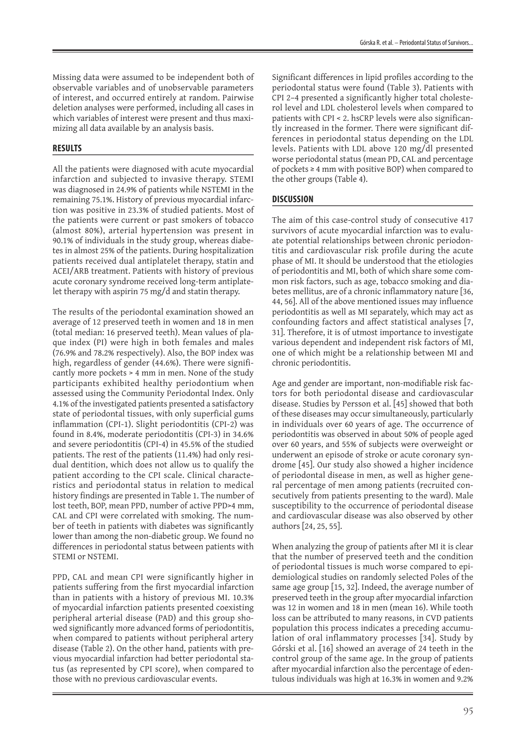Missing data were assumed to be independent both of observable variables and of unobservable parameters of interest, and occurred entirely at random. Pairwise deletion analyses were performed, including all cases in which variables of interest were present and thus maximizing all data available by an analysis basis.

## **RESULTS**

All the patients were diagnosed with acute myocardial infarction and subjected to invasive therapy. STEMI was diagnosed in 24.9% of patients while NSTEMI in the remaining 75.1%. History of previous myocardial infarction was positive in 23.3% of studied patients. Most of the patients were current or past smokers of tobacco (almost 80%), arterial hypertension was present in 90.1% of individuals in the study group, whereas diabetes in almost 25% of the patients. During hospitalization patients received dual antiplatelet therapy, statin and ACEI/ARB treatment. Patients with history of previous acute coronary syndrome received long-term antiplatelet therapy with aspirin 75 mg/d and statin therapy.

The results of the periodontal examination showed an average of 12 preserved teeth in women and 18 in men (total median: 16 preserved teeth). Mean values of plaque index (PI) were high in both females and males (76.9% and 78.2% respectively). Also, the BOP index was high, regardless of gender (44.6%). There were significantly more pockets > 4 mm in men. None of the study participants exhibited healthy periodontium when assessed using the Community Periodontal Index. Only 4.1% of the investigated patients presented a satisfactory state of periodontal tissues, with only superficial gums inflammation (CPI-1). Slight periodontitis (CPI-2) was found in 8.4%, moderate periodontitis (CPI-3) in 34.6% and severe periodontitis (CPI-4) in 45.5% of the studied patients. The rest of the patients (11.4%) had only residual dentition, which does not allow us to qualify the patient according to the CPI scale. Clinical characteristics and periodontal status in relation to medical history findings are presented in Table 1. The number of lost teeth, BOP, mean PPD, number of active PPD>4 mm, CAL and CPI were correlated with smoking. The number of teeth in patients with diabetes was significantly lower than among the non-diabetic group. We found no differences in periodontal status between patients with STEMI or NSTEMI.

PPD, CAL and mean CPI were significantly higher in patients suffering from the first myocardial infarction than in patients with a history of previous MI. 10.3% of myocardial infarction patients presented coexisting peripheral arterial disease (PAD) and this group showed significantly more advanced forms of periodontitis, when compared to patients without peripheral artery disease (Table 2). On the other hand, patients with previous myocardial infarction had better periodontal status (as represented by CPI score), when compared to those with no previous cardiovascular events.

Significant differences in lipid profiles according to the periodontal status were found (Table 3). Patients with CPI 2–4 presented a significantly higher total cholesterol level and LDL cholesterol levels when compared to patients with CPI < 2. hsCRP levels were also significantly increased in the former. There were significant differences in periodontal status depending on the LDL levels. Patients with LDL above 120 mg/dl presented worse periodontal status (mean PD, CAL and percentage of pockets ≥ 4 mm with positive BOP) when compared to the other groups (Table 4).

# **DISCUSSION**

The aim of this case-control study of consecutive 417 survivors of acute myocardial infarction was to evaluate potential relationships between chronic periodontitis and cardiovascular risk profile during the acute phase of MI. It should be understood that the etiologies of periodontitis and MI, both of which share some common risk factors, such as age, tobacco smoking and diabetes mellitus, are of a chronic inflammatory nature [36, 44, 56]. All of the above mentioned issues may influence periodontitis as well as MI separately, which may act as confounding factors and affect statistical analyses [7, 31]. Therefore, it is of utmost importance to investigate various dependent and independent risk factors of MI, one of which might be a relationship between MI and chronic periodontitis.

Age and gender are important, non-modifiable risk factors for both periodontal disease and cardiovascular disease. Studies by Persson et al. [45] showed that both of these diseases may occur simultaneously, particularly in individuals over 60 years of age. The occurrence of periodontitis was observed in about 50% of people aged over 60 years, and 55% of subjects were overweight or underwent an episode of stroke or acute coronary syndrome [45]. Our study also showed a higher incidence of periodontal disease in men, as well as higher general percentage of men among patients (recruited consecutively from patients presenting to the ward). Male susceptibility to the occurrence of periodontal disease and cardiovascular disease was also observed by other authors [24, 25, 55].

When analyzing the group of patients after MI it is clear that the number of preserved teeth and the condition of periodontal tissues is much worse compared to epidemiological studies on randomly selected Poles of the same age group [15, 32]. Indeed, the average number of preserved teeth in the group after myocardial infarction was 12 in women and 18 in men (mean 16). While tooth loss can be attributed to many reasons, in CVD patients population this process indicates a preceding accumulation of oral inflammatory processes [34]. Study by Górski et al. [16] showed an average of 24 teeth in the control group of the same age. In the group of patients after myocardial infarction also the percentage of edentulous individuals was high at 16.3% in women and 9.2%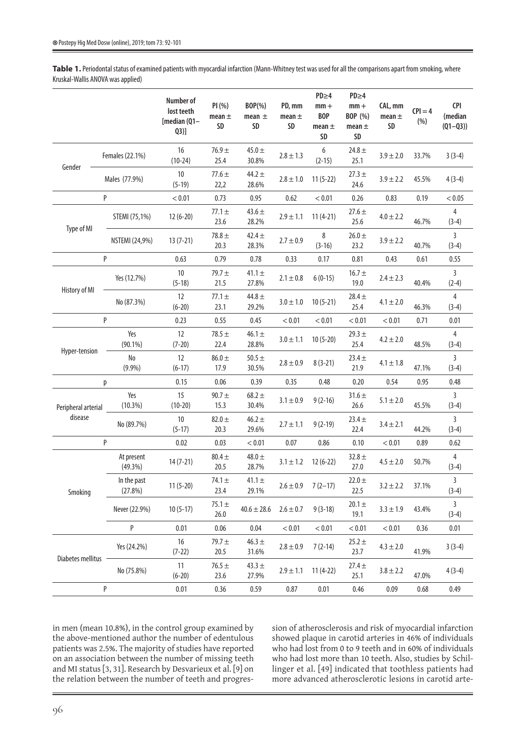Table 1. Periodontal status of examined patients with myocardial infarction (Mann-Whitney test was used for all the comparisons apart from smoking, where Kruskal-Wallis ANOVA was applied)

|                     |                        | Number of<br>lost teeth<br>[median (Q1-<br>(23)] | PI(%)<br>mean $\pm$<br>SD | BOP(%)<br>mean $\pm$<br>SD | PD, mm<br>mean $\pm$<br>SD | $PD \geq 4$<br>$mm +$<br><b>BOP</b><br>mean $\pm$<br>SD | $PD \geq 4$<br>$mm +$<br>BOP (%)<br>mean $\pm$<br>SD | CAL, mm<br>mean $\pm$<br>SD | $ P =4$<br>(%) | <b>CPI</b><br>(median<br>$(Q1 - Q3)$ |
|---------------------|------------------------|--------------------------------------------------|---------------------------|----------------------------|----------------------------|---------------------------------------------------------|------------------------------------------------------|-----------------------------|----------------|--------------------------------------|
|                     | Females (22.1%)        | 16<br>$(10-24)$                                  | $76.9 +$<br>25.4          | 45.0 $\pm$<br>30.8%        | $2.8 \pm 1.3$              | 6<br>$(2-15)$                                           | 24.8 $\pm$<br>25.1                                   | $3.9 \pm 2.0$               | 33.7%          | $3(3-4)$                             |
| Gender              | Males (77.9%)          | 10<br>$(5-19)$                                   | $77.6 \pm$<br>22,2        | 44.2 $\pm$<br>28.6%        | $2.8 \pm 1.0$              | $11(5-22)$                                              | $27.3 +$<br>24.6                                     | $3.9 \pm 2.2$               | 45.5%          | $4(3-4)$                             |
|                     | P                      | < 0.01                                           | 0.73                      | 0.95                       | 0.62                       | < 0.01                                                  | 0.26                                                 | 0.83                        | 0.19           | < 0.05                               |
|                     | STEMI (75,1%)          | $12(6-20)$                                       | $77.1 +$<br>23.6          | 43.6 $\pm$<br>28.2%        | $2.9 \pm 1.1$              | $11(4-21)$                                              | $27.6 \pm$<br>25.6                                   | $4.0 \pm 2.2$               | 46.7%          | 4<br>$(3-4)$                         |
| Type of MI          | <b>NSTEMI (24,9%)</b>  | $13(7-21)$                                       | $78.8 \pm$<br>20.3        | $42.4 +$<br>28.3%          | $2.7 \pm 0.9$              | 8<br>$(3-16)$                                           | $26.0 \pm$<br>23.2                                   | $3.9 \pm 2.2$               | 40.7%          | 3<br>$(3-4)$                         |
|                     | P                      | 0.63                                             | 0.79                      | 0.78                       | 0.33                       | 0.17                                                    | 0.81                                                 | 0.43                        | 0.61           | 0.55                                 |
| History of MI       | Yes (12.7%)            | 10<br>$(5-18)$                                   | $79.7 +$<br>21.5          | $41.1 +$<br>27.8%          | $2.1 \pm 0.8$              | $6(0-15)$                                               | $16.7 +$<br>19.0                                     | $2.4 \pm 2.3$               | 40.4%          | 3<br>$(2-4)$                         |
|                     | No (87.3%)             | 12<br>$(6-20)$                                   | $77.1 +$<br>23.1          | 44.8 $\pm$<br>29.2%        | $3.0 \pm 1.0$              | $10(5-21)$                                              | $28.4 \pm$<br>25.4                                   | $4.1 \pm 2.0$               | 46.3%          | $\overline{4}$<br>$(3-4)$            |
|                     | P                      | 0.23                                             | 0.55                      | 0.45                       | < 0.01                     | < 0.01                                                  | < 0.01                                               | < 0.01                      | 0.71           | 0.01                                 |
| Hyper-tension       | Yes<br>$(90.1\%)$      | 12<br>$(7-20)$                                   | $78.5 +$<br>22.4          | $46.1 +$<br>28.8%          | $3.0 \pm 1.1$              | $10(5-20)$                                              | $29.3 +$<br>25.4                                     | $4.2 \pm 2.0$               | 48.5%          | 4<br>$(3-4)$                         |
|                     | No<br>$(9.9\%)$        | 12<br>$(6-17)$                                   | $86.0 +$<br>17.9          | $50.5 +$<br>30.5%          | $2.8 \pm 0.9$              | $8(3-21)$                                               | $23.4 \pm$<br>21.9                                   | $4.1 \pm 1.8$               | 47.1%          | $\overline{3}$<br>$(3-4)$            |
|                     | р                      | 0.15                                             | 0.06                      | 0.39                       | 0.35                       | 0.48                                                    | 0.20                                                 | 0.54                        | 0.95           | 0.48                                 |
| Peripheral arterial | Yes<br>$(10.3\%)$      | 15<br>$(10-20)$                                  | $90.7 +$<br>15.3          | $68.2 \pm$<br>30.4%        | $3.1 \pm 0.9$              | $9(2-16)$                                               | $31.6 \pm$<br>26.6                                   | $5.1 \pm 2.0$               | 45.5%          | 3<br>$(3-4)$                         |
| disease             | No (89.7%)             | 10<br>$(5-17)$                                   | $82.0 +$<br>20.3          | $46.2 +$<br>29.6%          | $2.7 \pm 1.1$              | $9(2-19)$                                               | $23.4 \pm$<br>22.4                                   | $3.4 \pm 2.1$               | 44.2%          | 3<br>$(3-4)$                         |
|                     | P                      | 0.02                                             | 0.03                      | < 0.01                     | 0.07                       | 0.86                                                    | 0.10                                                 | < 0.01                      | 0.89           | 0.62                                 |
| Smoking             | At present<br>(49.3%)  | $14(7-21)$                                       | $80.4 \pm$<br>20.5        | 48.0 $\pm$<br>28.7%        | $3.1 \pm 1.2$              | $12(6-22)$                                              | $32.8 \pm$<br>27.0                                   | $4.5 \pm 2.0$               | 50.7%          | 4<br>$(3-4)$                         |
|                     | In the past<br>(27.8%) | $11(5-20)$                                       | 74.1 $\pm$<br>23.4        | $41.1 \pm$<br>29.1%        | $2.6 \pm 0.9$              | $7(2-17)$                                               | $22.0 \pm$<br>22.5                                   | $3.2 \pm 2.2$               | 37.1%          | 3<br>$(3-4)$                         |
|                     | Never (22.9%)          | $10(5-17)$                                       | $75.1 \pm$<br>26.0        | $40.6 \pm 28.6$            | $2.6 \pm 0.7$              | $9(3-18)$                                               | $20.1 \pm$<br>19.1                                   | $3.3 \pm 1.9$               | 43.4%          | $(3-4)$                              |
|                     | P                      | 0.01                                             | 0.06                      | 0.04                       | < 0.01                     | < 0.01                                                  | < 0.01                                               | < 0.01                      | 0.36           | 0.01                                 |
|                     | Yes (24.2%)            | 16<br>$(7-22)$                                   | 79.7 $\pm$<br>20.5        | $46.3 +$<br>31.6%          | $2.8 \pm 0.9$              | $7(2-14)$                                               | $25.2 +$<br>23.7                                     | $4.3 \pm 2.0$               | 41.9%          | $3(3-4)$                             |
| Diabetes mellitus   | No (75.8%)             | 11<br>$(6-20)$                                   | $76.5 \pm$<br>23.6        | $43.3 \pm$<br>27.9%        | $2.9 \pm 1.1$              | $11(4-22)$                                              | $27.4 \pm$<br>25.1                                   | $3.8 \pm 2.2$               | 47.0%          | $4(3-4)$                             |
| P                   |                        | 0.01                                             | 0.36                      | 0.59                       | 0.87                       | 0.01                                                    | 0.46                                                 | 0.09                        | 0.68           | 0.49                                 |

in men (mean 10.8%), in the control group examined by the above-mentioned author the number of edentulous patients was 2.5%. The majority of studies have reported on an association between the number of missing teeth and MI status [3, 31]. Research by Desvarieux et al. [9] on the relation between the number of teeth and progression of atherosclerosis and risk of myocardial infarction showed plaque in carotid arteries in 46% of individuals who had lost from 0 to 9 teeth and in 60% of individuals who had lost more than 10 teeth. Also, studies by Schillinger et al. [49] indicated that toothless patients had more advanced atherosclerotic lesions in carotid arte-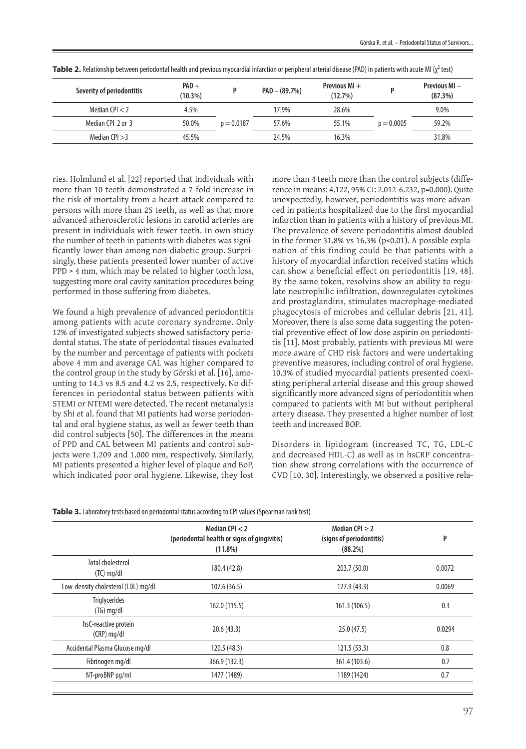| Severity of periodontitis | $PAD +$<br>$(10.3\%)$ |              | $PAD - (89.7%)$ | Previous $MI +$<br>(12.7%) |              | <b>Previous MI</b> –<br>(87.3%) |
|---------------------------|-----------------------|--------------|-----------------|----------------------------|--------------|---------------------------------|
| Median CPI $<$ 2          | 4.5%                  |              | 17.9%           | 28.6%                      |              | 9.0%                            |
| Median CPL 2 or 3         | 50.0%                 | $p = 0.0187$ | 57.6%           | 55.1%                      | $p = 0.0005$ | 59.2%                           |
| Median CPI $>3$           | 45.5%                 |              | 24.5%           | 16.3%                      |              | 31.8%                           |

Table 2. Relationship between periodontal health and previous myocardial infarction or peripheral arterial disease (PAD) in patients with acute MI (χ<sup>2</sup> test)

ries. Holmlund et al. [22] reported that individuals with more than 10 teeth demonstrated a 7-fold increase in the risk of mortality from a heart attack compared to persons with more than 25 teeth, as well as that more advanced atherosclerotic lesions in carotid arteries are present in individuals with fewer teeth. In own study the number of teeth in patients with diabetes was significantly lower than among non-diabetic group. Surprisingly, these patients presented lower number of active PPD > 4 mm, which may be related to higher tooth loss, suggesting more oral cavity sanitation procedures being performed in those suffering from diabetes.

We found a high prevalence of advanced periodontitis among patients with acute coronary syndrome. Only 12% of investigated subjects showed satisfactory periodontal status. The state of periodontal tissues evaluated by the number and percentage of patients with pockets above 4 mm and average CAL was higher compared to the control group in the study by Górski et al. [16], amounting to 14.3 vs 8.5 and 4.2 vs 2.5, respectively. No differences in periodontal status between patients with STEMI or NTEMI were detected. The recent metanalysis by Shi et al. found that MI patients had worse periodontal and oral hygiene status, as well as fewer teeth than did control subjects [50]. The differences in the means of PPD and CAL between MI patients and control subjects were 1.209 and 1.000 mm, respectively. Similarly, MI patients presented a higher level of plaque and BoP, which indicated poor oral hygiene. Likewise, they lost

more than 4 teeth more than the control subjects (difference in means: 4.122, 95% CI: 2.012-6.232, p=0.000). Quite unexpectedly, however, periodontitis was more advanced in patients hospitalized due to the first myocardial infarction than in patients with a history of previous MI. The prevalence of severe periodontitis almost doubled in the former 31.8% vs 16.3% (p<0.01). A possible explanation of this finding could be that patients with a history of myocardial infarction received statins which can show a beneficial effect on periodontitis [19, 48]. By the same token, resolvins show an ability to regulate neutrophilic infiltration, downregulates cytokines and prostaglandins, stimulates macrophage-mediated phagocytosis of microbes and cellular debris [21, 41]. Moreover, there is also some data suggesting the potential preventive effect of low dose aspirin on periodontitis [11]. Most probably, patients with previous MI were more aware of CHD risk factors and were undertaking preventive measures, including control of oral hygiene. 10.3% of studied myocardial patients presented coexisting peripheral arterial disease and this group showed significantly more advanced signs of periodontitis when compared to patients with MI but without peripheral artery disease. They presented a higher number of lost teeth and increased BOP.

Disorders in lipidogram (increased TC, TG, LDL-C and decreased HDL-C) as well as in hsCRP concentration show strong correlations with the occurrence of CVD [10, 30]. Interestingly, we observed a positive rela-

|  | Table 3. Laboratory tests based on periodontal status according to CPI values (Spearman rank test) |
|--|----------------------------------------------------------------------------------------------------|
|  |                                                                                                    |

|                                          | Median CPI $<$ 2<br>(periodontal health or signs of gingivitis)<br>(11.8%) | Median CPI $\geq$ 2<br>(signs of periodontitis)<br>(88.2%) | P      |  |
|------------------------------------------|----------------------------------------------------------------------------|------------------------------------------------------------|--------|--|
| <b>Total cholesterol</b><br>$(TC)$ mg/dl | 180.4 (42.8)                                                               | 203.7 (50.0)                                               | 0.0072 |  |
| Low-density cholesterol (LDL) mg/dl      | 107.6(36.5)                                                                | 127.9(43.3)                                                | 0.0069 |  |
| <b>Triglycerides</b><br>$(TG)$ mg/dl     | 162.0 (115.5)                                                              | 161.3 (106.5)                                              | 0.3    |  |
| hsC-reactive protein<br>$(CRP)$ mg/dl    | 20.6(43.3)                                                                 | 25.0(47.5)                                                 | 0.0294 |  |
| Accidental Plasma Glucose mg/dl          | 120.5(48.3)                                                                | 121.5(53.3)                                                | 0.8    |  |
| Fibrinogen mg/dl                         | 366.9 (132.3)                                                              | 361.4 (103.6)                                              | 0.7    |  |
| NT-proBNP pg/ml                          | 1477 (1489)                                                                | 1189 (1424)                                                | 0.7    |  |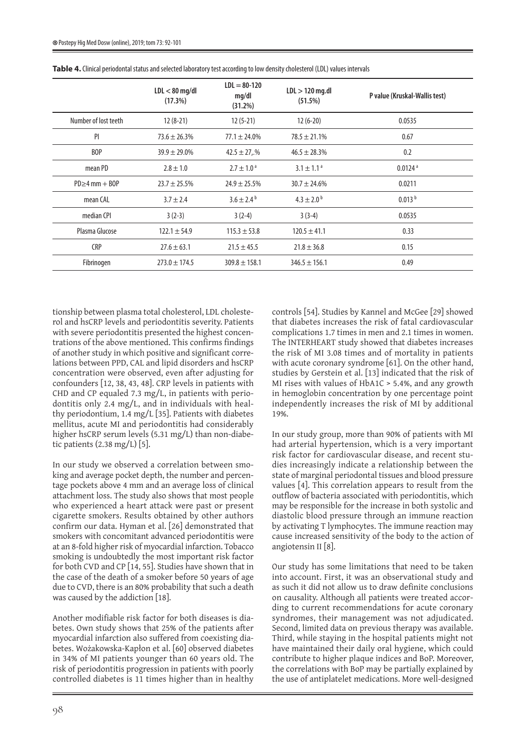|                      | $LDL < 80$ mg/dl<br>(17.3%) | $LDL = 80-120$<br>mq/dl<br>(31.2%) | $LDL > 120$ mg.dl<br>(51.5%) | P value (Kruskal-Wallis test) |
|----------------------|-----------------------------|------------------------------------|------------------------------|-------------------------------|
| Number of lost teeth | $12(8-21)$                  | $12(5-21)$                         | $12(6-20)$                   | 0.0535                        |
| PI                   | $73.6 \pm 26.3\%$           | $77.1 \pm 24.0\%$                  | $78.5 \pm 21.1\%$            | 0.67                          |
| BOP                  | $39.9 \pm 29.0\%$           | $42.5 \pm 27.$ %                   | $46.5 \pm 28.3\%$            | 0.2                           |
| mean PD              | $2.8 \pm 1.0$               | $2.7 \pm 1.0^{\text{ a}}$          | $3.1 \pm 1.1$ <sup>a</sup>   | $0.0124$ <sup>a</sup>         |
| $PD \geq 4$ mm + BOP | $23.7 \pm 25.5\%$           | $24.9 \pm 25.5\%$                  | $30.7 \pm 24.6\%$            | 0.0211                        |
| mean CAL             | $3.7 \pm 2.4$               | $3.6 \pm 2.4^{\circ}$              | $4.3 \pm 2.0^{\circ}$        | 0.013 <sup>b</sup>            |
| median CPI           | $3(2-3)$                    | $3(2-4)$                           | $3(3-4)$                     | 0.0535                        |
| Plasma Glucose       | $122.1 \pm 54.9$            | $115.3 \pm 53.8$                   | $120.5 \pm 41.1$             | 0.33                          |
| <b>CRP</b>           | $27.6 \pm 63.1$             | $21.5 \pm 45.5$                    | $21.8 \pm 36.8$              | 0.15                          |
| Fibrinogen           | $273.0 \pm 174.5$           | $309.8 \pm 158.1$                  | $346.5 \pm 156.1$            | 0.49                          |

**Table 4.** Clinical periodontal status and selected laboratory test according to low density cholesterol (LDL) values intervals

tionship between plasma total cholesterol, LDL cholesterol and hsCRP levels and periodontitis severity. Patients with severe periodontitis presented the highest concentrations of the above mentioned. This confirms findings of another study in which positive and significant correlations between PPD, CAL and lipid disorders and hsCRP concentration were observed, even after adjusting for confounders [12, 38, 43, 48]. CRP levels in patients with CHD and CP equaled 7.3 mg/L, in patients with periodontitis only 2.4 mg/L, and in individuals with healthy periodontium, 1.4 mg/L [35]. Patients with diabetes mellitus, acute MI and periodontitis had considerably higher hsCRP serum levels (5.31 mg/L) than non-diabetic patients (2.38 mg/L) [5].

In our study we observed a correlation between smoking and average pocket depth, the number and percentage pockets above 4 mm and an average loss of clinical attachment loss. The study also shows that most people who experienced a heart attack were past or present cigarette smokers. Results obtained by other authors confirm our data. Hyman et al. [26] demonstrated that smokers with concomitant advanced periodontitis were at an 8-fold higher risk of myocardial infarction. Tobacco smoking is undoubtedly the most important risk factor for both CVD and CP [14, 55]. Studies have shown that in the case of the death of a smoker before 50 years of age due to CVD, there is an 80% probability that such a death was caused by the addiction [18].

Another modifiable risk factor for both diseases is diabetes. Own study shows that 25% of the patients after myocardial infarction also suffered from coexisting diabetes. Wożakowska-Kapłon et al. [60] observed diabetes in 34% of MI patients younger than 60 years old. The risk of periodontitis progression in patients with poorly controlled diabetes is 11 times higher than in healthy

controls [54]. Studies by Kannel and McGee [29] showed that diabetes increases the risk of fatal cardiovascular complications 1.7 times in men and 2.1 times in women. The INTERHEART study showed that diabetes increases the risk of MI 3.08 times and of mortality in patients with acute coronary syndrome [61]. On the other hand, studies by Gerstein et al. [13] indicated that the risk of MI rises with values of HbA1C > 5.4%, and any growth in hemoglobin concentration by one percentage point independently increases the risk of MI by additional 19%.

In our study group, more than 90% of patients with MI had arterial hypertension, which is a very important risk factor for cardiovascular disease, and recent studies increasingly indicate a relationship between the state of marginal periodontal tissues and blood pressure values [4]. This correlation appears to result from the outflow of bacteria associated with periodontitis, which may be responsible for the increase in both systolic and diastolic blood pressure through an immune reaction by activating T lymphocytes. The immune reaction may cause increased sensitivity of the body to the action of angiotensin II [8].

Our study has some limitations that need to be taken into account. First, it was an observational study and as such it did not allow us to draw definite conclusions on causality. Although all patients were treated according to current recommendations for acute coronary syndromes, their management was not adjudicated. Second, limited data on previous therapy was available. Third, while staying in the hospital patients might not have maintained their daily oral hygiene, which could contribute to higher plaque indices and BoP. Moreover, the correlations with BoP may be partially explained by the use of antiplatelet medications. More well-designed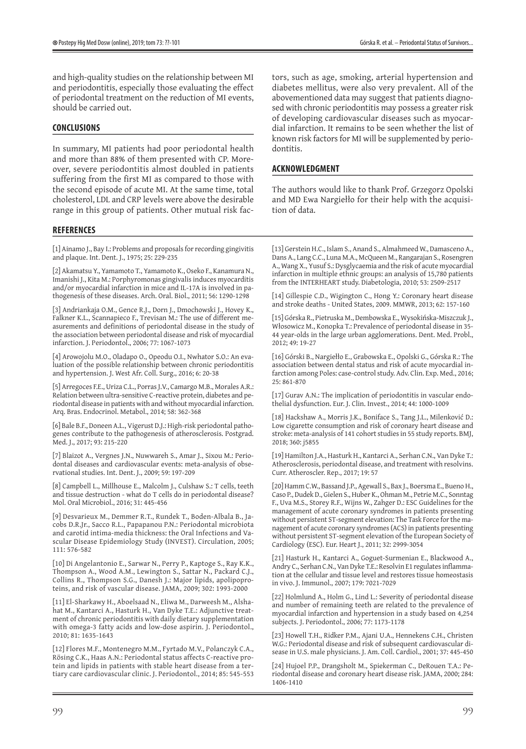and high-quality studies on the relationship between MI and periodontitis, especially those evaluating the effect of periodontal treatment on the reduction of MI events, should be carried out.

### **CONCLUSIONS**

In summary, MI patients had poor periodontal health and more than 88% of them presented with CP. Moreover, severe periodontitis almost doubled in patients suffering from the first MI as compared to those with the second episode of acute MI. At the same time, total cholesterol, LDL and CRP levels were above the desirable range in this group of patients. Other mutual risk fac-

#### **REFERENCES**

[1] Ainamo J., Bay I.: Problems and proposals for recording gingivitis and plaque. Int. Dent. J., 1975; 25: 229-235

[2] Akamatsu Y., Yamamoto T., Yamamoto K., Oseko F., Kanamura N., Imanishi J., Kita M.: Porphyromonas gingivalis induces myocarditis and/or myocardial infarction in mice and IL-17A is involved in pathogenesis of these diseases. Arch. Oral. Biol., 2011; 56: 1290-1298

[3] Andriankaja O.M., Gence R.J., Dorn J., Dmochowski J., Hovey K., Falkner K.L., Scannapieco F., Trevisan M.: The use of different measurements and definitions of periodontal disease in the study of the association between periodontal disease and risk of myocardial infarction. J. Periodontol., 2006; 77: 1067-1073

[4] Arowojolu M.O., Oladapo O., Opeodu O.I., Nwhator S.O.: An evaluation of the possible relationship between chronic periodontitis and hypertension. J. West Afr. Coll. Surg., 2016; 6: 20-38

[5] Arregoces F.E., Uriza C.L., Porras J.V., Camargo M.B., Morales A.R.: Relation between ultra-sensitive C-reactive protein, diabetes and periodontal disease in patients with and without myocardial infarction. Arq. Bras. Endocrinol. Metabol., 2014; 58: 362-368

[6] Bale B.F., Doneen A.L., Vigerust D.J.: High-risk periodontal pathogenes contribute to the pathogenesis of atherosclerosis. Postgrad. Med. J., 2017; 93: 215-220

[7] Blaizot A., Vergnes J.N., Nuwwareh S., Amar J., Sixou M.: Periodontal diseases and cardiovascular events: meta-analysis of observational studies. Int. Dent. J., 2009; 59: 197-209

[8] Campbell L., Millhouse E., Malcolm J., Culshaw S.: T cells, teeth and tissue destruction - what do T cells do in periodontal disease? Mol. Oral Microbiol., 2016; 31: 445-456

[9] Desvarieux M., Demmer R.T., Rundek T., Boden-Albala B., Jacobs D.R.Jr., Sacco R.L., Papapanou P.N.: Periodontal microbiota and carotid intima-media thickness: the Oral Infections and Vascular Disease Epidemiology Study (INVEST). Circulation, 2005; 111: 576-582

[10] Di Angelantonio E., Sarwar N., Perry P., Kaptoge S., Ray K.K., Thompson A., Wood A.M., Lewington S., Sattar N., Packard C.J., Collins R., Thompson S.G., Danesh J.: Major lipids, apolipoproteins, and risk of vascular disease. JAMA, 2009; 302: 1993-2000

[11] El-Sharkawy H., Aboelsaad N., Eliwa M., Darweesh M., Alshahat M., Kantarci A., Hasturk H., Van Dyke T.E.: Adjunctive treatment of chronic periodontitis with daily dietary supplementation with omega-3 fatty acids and low-dose aspirin. J. Periodontol., 2010; 81: 1635-1643

[12] Flores M.F., Montenegro M.M., Fyrtado M.V., Polanczyk C.A., Rösing C.K., Haas A.N.: Periodontal status affects C-reactive protein and lipids in patients with stable heart disease from a tertiary care cardiovascular clinic. J. Periodontol., 2014; 85: 545-553 tors, such as age, smoking, arterial hypertension and diabetes mellitus, were also very prevalent. All of the abovementioned data may suggest that patients diagnosed with chronic periodontitis may possess a greater risk of developing cardiovascular diseases such as myocardial infarction. It remains to be seen whether the list of known risk factors for MI will be supplemented by periodontitis.

#### **ACKNOWLEDGMENT**

The authors would like to thank Prof. Grzegorz Opolski and MD Ewa Nargiełło for their help with the acquisition of data.

[13] Gerstein H.C., Islam S., Anand S., Almahmeed W., Damasceno A., Dans A., Lang C.C., Luna M.A., McQueen M., Rangarajan S., Rosengren A., Wang X., Yusuf S.: Dysglycaemia and the risk of acute myocardial infarction in multiple ethnic groups: an analysis of 15,780 patients from the INTERHEART study. Diabetologia, 2010; 53: 2509-2517

[14] Gillespie C.D., Wigington C., Hong Y.: Coronary heart disease and stroke deaths - United States, 2009. MMWR, 2013; 62: 157-160

[15] Górska R., Pietruska M., Dembowska E., Wysokińska-Miszczuk J., Włosowicz M., Konopka T.: Prevalence of periodontal disease in 35- 44 year-olds in the large urban agglomerations. Dent. Med. Probl., 2012; 49: 19-27

[16] Górski B., Nargiełło E., Grabowska E., Opolski G., Górska R.: The association between dental status and risk of acute myocardial infarction among Poles: case-control study. Adv. Clin. Exp. Med., 2016; 25: 861-870

[17] Gurav A.N.: The implication of periodontitis in vascular endothelial dysfunction. Eur. J. Clin. Invest., 2014; 44: 1000-1009

[18] Hackshaw A., Morris J.K., Boniface S., Tang J.L., Milenković D.: Low cigarette consumption and risk of coronary heart disease and stroke: meta-analysis of 141 cohort studies in 55 study reports. BMJ, 2018; 360: j5855

[19] Hamilton J.A., Hasturk H., Kantarci A., Serhan C.N., Van Dyke T.: Atherosclerosis, periodontal disease, and treatment with resolvins. Curr. Atheroscler. Rep., 2017; 19: 57

[20] Hamm C.W., Bassand J.P., Agewall S., Bax J., Boersma E., Bueno H., Caso P., Dudek D., Gielen S., Huber K., Ohman M., Petrie M.C., Sonntag F., Uva M.S., Storey R.F., Wijns W., Zahger D.: ESC Guidelines for the management of acute coronary syndromes in patients presenting without persistent ST-segment elevation: The Task Force for the management of acute coronary syndromes (ACS) in patients presenting without persistent ST-segment elevation of the European Society of Cardiology (ESC). Eur. Heart J., 2011; 32: 2999-3054

[21] Hasturk H., Kantarci A., Goguet-Surmenian E., Blackwood A., Andry C., Serhan C.N., Van Dyke T.E.: Resolvin E1 regulates inflammation at the cellular and tissue level and restores tissue homeostasis in vivo. J. Immunol., 2007; 179: 7021-7029

[22] Holmlund A., Holm G., Lind L.: Severity of periodontal disease and number of remaining teeth are related to the prevalence of myocardial infarction and hypertension in a study based on 4,254 subjects. J. Periodontol., 2006; 77: 1173-1178

[23] Howell T.H., Ridker P.M., Ajani U.A., Hennekens C.H., Christen W.G.: Periodontal disease and risk of subsequent cardiovascular disease in U.S. male physicians. J. Am. Coll. Cardiol., 2001; 37: 445-450

[24] Hujoel P.P., Drangsholt M., Spiekerman C., DeRouen T.A.: Periodontal disease and coronary heart disease risk. JAMA, 2000; 284: 1406-1410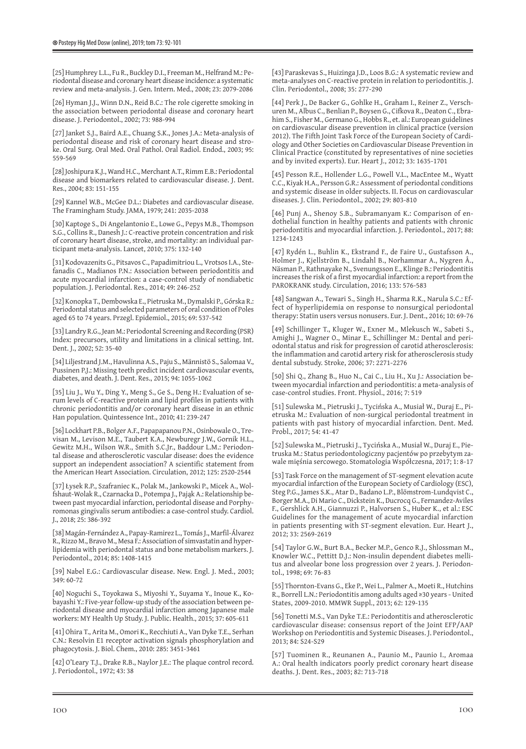[25] Humphrey L.L., Fu R., Buckley D.I., Freeman M., Helfrand M.: Periodontal disease and coronary heart disease incidence: a systematic review and meta-analysis. J. Gen. Intern. Med., 2008; 23: 2079-2086

[26] Hyman LL, Winn D.N., Reid B.C.: The role cigerette smoking in the association between periodontal disease and coronary heart disease. J. Periodontol., 2002; 73: 988-994

[27] Janket S.J., Baird A.E., Chuang S.K., Jones J.A.: Meta-analysis of periodontal disease and risk of coronary heart disease and stroke. Oral Surg. Oral Med. Oral Pathol. Oral Radiol. Endod., 2003; 95: 559-569

[28] Joshipura K.J., Wand H.C., Merchant A.T., Rimm E.B.: Periodontal disease and biomarkers related to cardiovascular disease. J. Dent. Res., 2004; 83: 151-155

[29] Kannel W.B., McGee D.L.: Diabetes and cardiovascular disease. The Framingham Study. JAMA, 1979; 241: 2035-2038

[30] Kaptoge S., Di Angelantonio E., Lowe G., Pepys M.B., Thompson S.G., Collins R., Danesh J.: C-reactive protein concentration and risk of coronary heart disease, stroke, and mortality: an individual participant meta-analysis. Lancet, 2010; 375: 132-140

[31] Kodovazenits G., Pitsavos C., Papadimitriou L., Vrotsos I.A., Stefanadis C., Madianos P.N.: Association between periodontitis and acute myocardial infarction: a case-control study of nondiabetic population. J. Periodontal. Res., 2014; 49: 246-252

[32] Konopka T., Dembowska E., Pietruska M., Dymalski P., Górska R.: Periodontal status and selected parameters of oral condition of Poles aged 65 to 74 years. Przegl. Epidemiol., 2015; 69: 537-542

[33] Landry R.G., Jean M.: Periodontal Screening and Recording (PSR) Index: precursors, utility and limitations in a clinical setting. Int. Dent. J., 2002; 52: 35-40

[34] Liljestrand J.M., Havulinna A.S., Paju S., Männistö S., Salomaa V., Pussinen P.J.: Missing teeth predict incident cardiovascular events, diabetes, and death. J. Dent. Res., 2015; 94: 1055-1062

[35] Liu J., Wu Y., Ding Y., Meng S., Ge S., Deng H.: Evaluation of serum levels of C-reactive protein and lipid profiles in patients with chronic periodontitis and/or coronary heart disease in an ethnic Han population. Quintessence Int., 2010; 41: 239-247

[36] Lockhart P.B., Bolger A.F., Papapapanou P.N., Osinbowale O., Trevisan M., Levison M.E., Taubert K.A., Newburegr J.W., Gornik H.L., Gewitz M.H., Wilson W.R., Smith S.C.Jr., Baddour L.M.: Periodontal disease and atherosclerotic vascular disease: does the evidence support an independent association? A scientific statement from the American Heart Association. Circulation, 2012; 125: 2520-2544

[37] Łysek R.P., Szafraniec K., Polak M., Jankowski P., Micek A., Wolfshaut-Wolak R., Czarnacka D., Potempa J., Pająk A.: Relationship between past myocardial infarction, periodontal disease and Porphyromonas gingivalis serum antibodies: a case-control study. Cardiol. J., 2018; 25: 386-392

[38] Magán-Fernández A., Papay-Ramirez L., Tomás J., Marfil-Álvarez R., Rizzo M., Bravo M., Mesa F.: Association of simvastatin and hyperlipidemia with periodontal status and bone metabolism markers. J. Periodontol., 2014; 85: 1408-1415

[39] Nabel E.G.: Cardiovascular disease. New. Engl. J. Med., 2003; 349: 60-72

[40] Noguchi S., Toyokawa S., Miyoshi Y., Suyama Y., Inoue K., Kobayashi Y.: Five-year follow-up study of the association between periodontal disease and myocardial infarction among Japanese male workers: MY Health Up Study. J. Public. Health., 2015; 37: 605-611

[41] Ohira T., Arita M., Omori K., Recchiuti A., Van Dyke T.E., Serhan C.N.: Resolvin E1 receptor activation signals phosphorylation and phagocytosis. J. Biol. Chem., 2010: 285: 3451-3461

[42] O'Leary T.J., Drake R.B., Naylor J.E.: The plaque control record. J. Periodontol., 1972; 43: 38

[43] Paraskevas S., Huizinga J.D., Loos B.G.: A systematic review and meta-analyses on C-reactive protein in relation to periodontitis. J. Clin. Periodontol., 2008; 35: 277-290

[44] Perk J., De Backer G., Gohlke H., Graham I., Reiner Z., Verschuren M., Albus C., Benlian P., Boysen G., Cifkova R., Deaton C., Ebrahim S., Fisher M., Germano G., Hobbs R., et. al.: European guidelines on cardiovascular disease prevention in clinical practice (version 2012). The Fifth Joint Task Force of the European Society of Cardiology and Other Societies on Cardiovascular Disease Prevention in Clinical Practice (constituted by representatives of nine societies and by invited experts). Eur. Heart J., 2012; 33: 1635-1701

[45] Pesson R.E., Hollender L.G., Powell V.L., MacEntee M., Wyatt C.C., Kiyak H.A., Persson G.R.: Assessment of periodontal conditions and systemic disease in older subjects. II. Focus on cardiovascular diseases. J. Clin. Periodontol., 2002; 29: 803-810

[46] Punj A., Shenoy S.B., Subramanyam K.: Comparison of endothelial function in healthy patients and patients with chronic periodontitis and myocardial infarction. J. Periodontol., 2017; 88: 1234-1243

[47] Rydén L., Buhlin K., Ekstrand F., de Faire U., Gustafsson A., Holmer J., Kjellström B., Lindahl B., Norhammar A., Nygren Å., Näsman P., Rathnayake N., Svenungsson E., Klinge B.: Periodontitis increases the risk of a first myocardial infarction: a report from the PAROKRANK study. Circulation, 2016; 133: 576-583

[48] Sangwan A., Tewari S., Singh H., Sharma R.K., Narula S.C.: Effect of hyperlipidemia on response to nonsurgical periodontal therapy: Statin users versus nonusers. Eur. J. Dent., 2016; 10: 69-76

[49] Schillinger T., Kluger W., Exner M., Mlekusch W., Sabeti S., Amighi J., Wagner O., Minar E., Schillinger M.: Dental and periodontal status and risk for progression of carotid atherosclerosis: the inflammation and carotid artery risk for atherosclerosis study dental substudy. Stroke, 2006; 37: 2271-2276

[50] Shi Q., Zhang B., Huo N., Cai C., Liu H., Xu J.: Association between myocardial infarction and periodontitis: a meta-analysis of case-control studies. Front. Physiol., 2016; 7: 519

[51] Sulewska M., Pietruski J., Tycińska A., Musiał W., Duraj E., Pietruska M.: Evaluation of non-surgical periodontal treatment in patients with past history of myocardial infarction. Dent. Med. Probl., 2017; 54: 41-47

[52] Sulewska M., Pietruski J., Tycińska A., Musiał W., Duraj E., Pietruska M.: Status periodontologiczny pacjentów po przebytym zawale mięśnia sercowego. Stomatologia Współczesna, 2017; 1: 8-17

[53] Task Force on the management of ST-segment elevation acute myocardial infarction of the European Society of Cardiology (ESC), Steg P.G., James S.K., Atar D., Badano L.P., Blömstrom-Lundqvist C., Borger M.A., Di Mario C., Dickstein K., Ducrocq G., Fernandez-Aviles F., Gershlick A.H., Giannuzzi P., Halvorsen S., Huber K., et al.: ESC Guidelines for the management of acute myocardial infarction in patients presenting with ST-segment elevation. Eur. Heart J., 2012; 33: 2569-2619

[54] Taylor G.W., Burt B.A., Becker M.P., Genco R.J., Shlossman M., Knowler W.C., Pettitt D.J.: Non-insulin dependent diabetes mellitus and alveolar bone loss progression over 2 years. J. Periodontol., 1998; 69: 76-83

[55] Thornton-Evans G., Eke P., Wei L., Palmer A., Moeti R., Hutchins R., Borrell L.N.: Periodontitis among adults aged ≥30 years - United States, 2009-2010. MMWR Suppl., 2013; 62: 129-135

[56] Tonetti M.S., Van Dyke T.E.: Periodontitis and atherosclerotic cardiovascular disease: consensus report of the Joint EFP/AAP Workshop on Periodontitis and Systemic Diseases. J. Periodontol., 2013; 84: S24-S29

[57] Tuominen R., Reunanen A., Paunio M., Paunio I., Aromaa A.: Oral health indicators poorly predict coronary heart disease deaths. J. Dent. Res., 2003; 82: 713-718